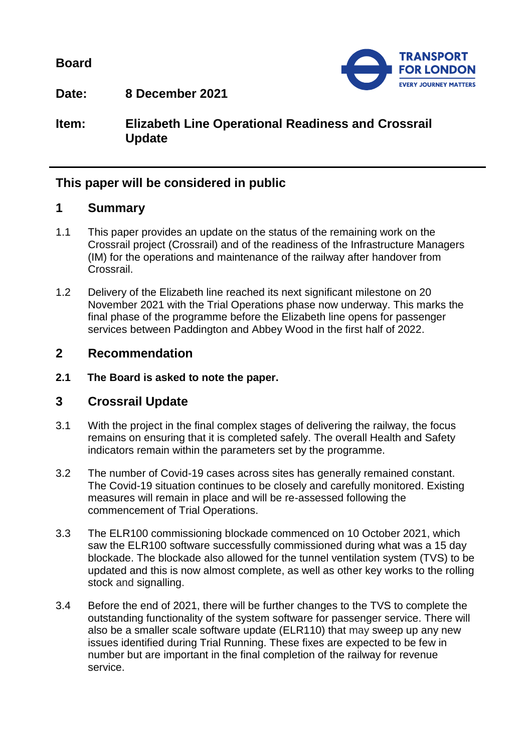**Board**



**Date: 8 December 2021**

**Item: Elizabeth Line Operational Readiness and Crossrail Update**

## **This paper will be considered in public**

## **1 Summary**

- 1.1 This paper provides an update on the status of the remaining work on the Crossrail project (Crossrail) and of the readiness of the Infrastructure Managers (IM) for the operations and maintenance of the railway after handover from Crossrail.
- 1.2 Delivery of the Elizabeth line reached its next significant milestone on 20 November 2021 with the Trial Operations phase now underway. This marks the final phase of the programme before the Elizabeth line opens for passenger services between Paddington and Abbey Wood in the first half of 2022.

## **2 Recommendation**

**2.1 The Board is asked to note the paper.**

## **3 Crossrail Update**

- 3.1 With the project in the final complex stages of delivering the railway, the focus remains on ensuring that it is completed safely. The overall Health and Safety indicators remain within the parameters set by the programme.
- 3.2 The number of Covid-19 cases across sites has generally remained constant. The Covid-19 situation continues to be closely and carefully monitored. Existing measures will remain in place and will be re-assessed following the commencement of Trial Operations.
- 3.3 The ELR100 commissioning blockade commenced on 10 October 2021, which saw the ELR100 software successfully commissioned during what was a 15 day blockade. The blockade also allowed for the tunnel ventilation system (TVS) to be updated and this is now almost complete, as well as other key works to the rolling stock and signalling.
- 3.4 Before the end of 2021, there will be further changes to the TVS to complete the outstanding functionality of the system software for passenger service. There will also be a smaller scale software update (ELR110) that may sweep up any new issues identified during Trial Running. These fixes are expected to be few in number but are important in the final completion of the railway for revenue service.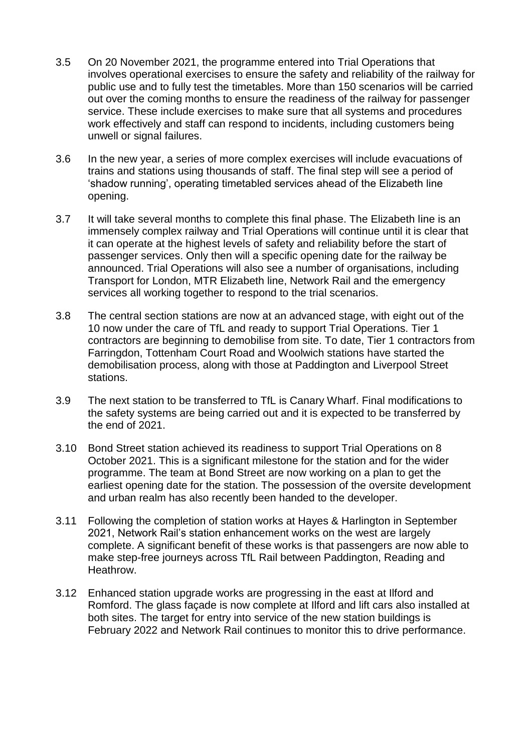- 3.5 On 20 November 2021, the programme entered into Trial Operations that involves operational exercises to ensure the safety and reliability of the railway for public use and to fully test the timetables. More than 150 scenarios will be carried out over the coming months to ensure the readiness of the railway for passenger service. These include exercises to make sure that all systems and procedures work effectively and staff can respond to incidents, including customers being unwell or signal failures.
- 3.6 In the new year, a series of more complex exercises will include evacuations of trains and stations using thousands of staff. The final step will see a period of 'shadow running', operating timetabled services ahead of the Elizabeth line opening.
- 3.7 It will take several months to complete this final phase. The Elizabeth line is an immensely complex railway and Trial Operations will continue until it is clear that it can operate at the highest levels of safety and reliability before the start of passenger services. Only then will a specific opening date for the railway be announced. Trial Operations will also see a number of organisations, including Transport for London, MTR Elizabeth line, Network Rail and the emergency services all working together to respond to the trial scenarios.
- 3.8 The central section stations are now at an advanced stage, with eight out of the 10 now under the care of TfL and ready to support Trial Operations. Tier 1 contractors are beginning to demobilise from site. To date, Tier 1 contractors from Farringdon, Tottenham Court Road and Woolwich stations have started the demobilisation process, along with those at Paddington and Liverpool Street stations.
- 3.9 The next station to be transferred to TfL is Canary Wharf. Final modifications to the safety systems are being carried out and it is expected to be transferred by the end of 2021.
- 3.10 Bond Street station achieved its readiness to support Trial Operations on 8 October 2021. This is a significant milestone for the station and for the wider programme. The team at Bond Street are now working on a plan to get the earliest opening date for the station. The possession of the oversite development and urban realm has also recently been handed to the developer.
- 3.11 Following the completion of station works at Hayes & Harlington in September 2021, Network Rail's station enhancement works on the west are largely complete. A significant benefit of these works is that passengers are now able to make step-free journeys across TfL Rail between Paddington, Reading and Heathrow.
- 3.12 Enhanced station upgrade works are progressing in the east at Ilford and Romford. The glass façade is now complete at Ilford and lift cars also installed at both sites. The target for entry into service of the new station buildings is February 2022 and Network Rail continues to monitor this to drive performance.